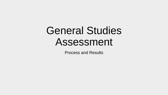## General Studies Assessment

Process and Results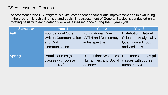## GS Assessment Process

• Assessment of the GS Program is a vital component of continuous improvement and in evaluating if the program is achieving its stated goals. The assessment of General Studies is conducted on a rotating basis with each category or area assessed once during the 3-year cycle.

| <b>Semester</b> | Year 1                                                                | <b>Year 2</b>                                                                                                    | <b>Year 3</b>                                                                          |
|-----------------|-----------------------------------------------------------------------|------------------------------------------------------------------------------------------------------------------|----------------------------------------------------------------------------------------|
| <b>Fall</b>     | <b>Foundational Core:</b><br><b>Written Communication</b><br>and Oral | <b>Foundational Core:</b><br><b>MATH and Democracy</b><br>in Perspective                                         | <b>Distribution: Natural</b><br>Sciences, Analytical &<br><b>Quantitative Thought;</b> |
|                 | Communication                                                         |                                                                                                                  | and Wellness                                                                           |
| <b>Spring</b>   | <b>Portal Courses (all</b><br>classes with course<br>number 188)      | Distribution: Aesthetics, Capstone Courses (all<br>Humanities, and Social classes with course<br><b>Sciences</b> | number 188)                                                                            |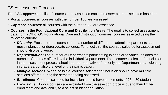## GS Assessment Process

The GSC approves the list of courses to be assessed each semester; courses selected based on:

- **Portal courses**: all courses with the number 188 are assessed
- **Capstone courses**: all courses with the number 388 are assessed
- **Courses in the Foundational Core and Distribution Areas**: The goal is to collect assessment data from 25% of GS Foundational Core and Distribution courses; courses selected using the following criteria:
	- *Diversity*: Each area has courses from a number of different academic departments and, in most instances, undergraduate colleges. To reflect this, the courses selected for assessment should also be diverse.
	- *Representation:* The number of Departments participating in each area varies, as does the number of courses offered by the individual Departments. Thus, courses selected for inclusion in the assessment process should be representative of not only the Departments participating in that area but also the level of their participation.
	- *Multiple sections*: When possible, courses selected for inclusion should have multiple sections offered during the semester being assessed.
	- *Enrollment*: Courses selected for inclusion should have enrollments of 25 30 students.
	- *Exclusions*: Honors courses are excluded from the selection process due to their limited enrollment and availability to a select student population.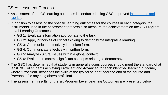## GS Assessment Process

- [Assessment of the GS learning outcomes is conducted using GSC approved instruments and](http://www.unk.edu/academic_affairs/assessment/GS_assessment.php) rubrics.
- In addition to assessing the specific learning outcomes for the courses in each category, the instruments used in the assessment process also measure the achievement on the GS Program Level Learning Outcomes.
	- GS 1: Evaluate information appropriate to the task
	- GS 2: Apply principles of critical thinking to demonstrate integrative learning.
	- GS 3: Communicate effectively in spoken form.
	- GS 4: Communicate effectively in written form.
	- GS 5: Analyze cultural issues within a global context.
	- GS 6: Evaluate in context significant concepts relating to democracy.
- The GSC has determined that students in general studies courses should meet the standard of at least 70% of students achieving Proficient and Advanced for each identified learning outcome, where "Proficient" describes the skills of the typical student near the end of the course and "Advanced" is anything above proficient.
- The assessment results for the six Program Level Learning Outcomes are presented below.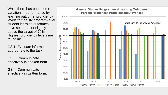While there has been some variation in performance by learning outcome, proficiency levels for the six program-level student learning outcomes have settled at or slightly above the target of 70%. Highest proficiency levels are found in:

GS 1: Evaluate information appropriate to the task

GS 3: Communicate effectively in spoken form.

GS 4: Communicate effectively in written form.

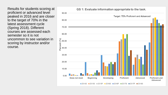Results for students scoring at proficient or advanced level peaked in 2016 and are closer to the target of 70% in the latest assessment cycle (Spring 2018). Different courses are assessed each semester so it is not uncommon to see variation in scoring by instructor and/or course.

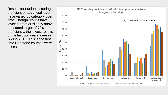Results for students scoring at proficient or advanced level have varied by category over time. Though results have leveled off at or slightly above the stated target of 70% proficiency, the lowest results of the last two years were in Spring 2016. This is the first time Capstone courses were assessed.

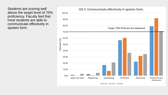Students are scoring well above the target level of 70% proficiency. Faculty feel that most students are able to communicate effectively in spoken form.

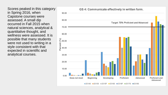Scores peaked in this category in Spring 2016, when Capstone courses were assessed. A small dip occurred in Fall 2015 when natural sciences, analytical & quantitative thought, and wellness were assessed. It is possible that many students were not used to writing in a style consistent with that expected in scientific and analytical courses.

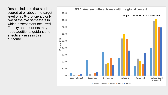Results indicate that students scored at or above the target level of 70% proficiency only two of the five semesters in which assessment occurred. Faculty and students may need additional guidance to effectively assess this outcome.